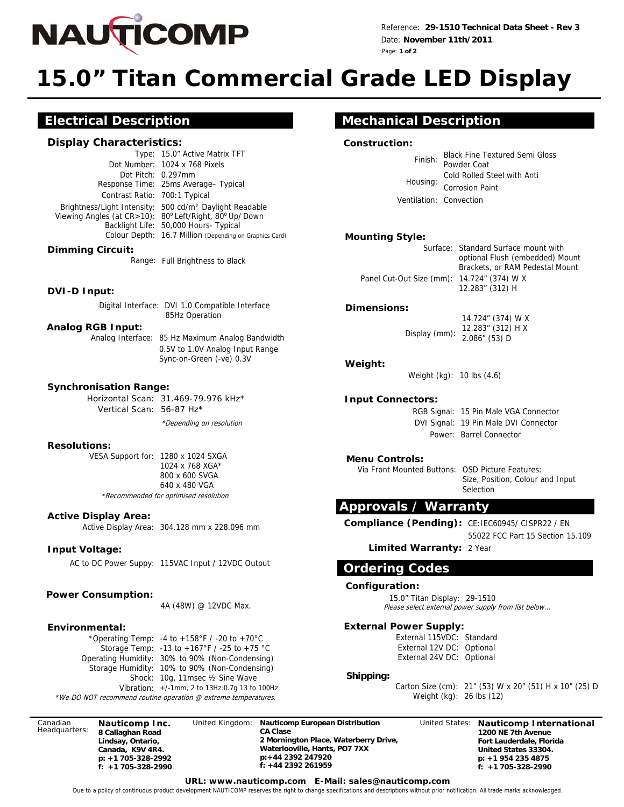

Reference: **29-1510 Technical Data Sheet - Rev 3**  Date: **November 11th/2011**  Page: **1 of 2**

# **15.0" Titan Commercial Grade LED Display**

## **Electrical Description**

#### **Display Characteristics:**

Type: 15.0" Active Matrix TFT Dot Number: 1024 x 768 Pixels Dot Pitch: 0.297mm Response Time: 25ms Average– Typical Contrast Ratio: 700:1 Typical Brightness/Light Intensity: 500 cd/m² Daylight Readable Viewing Angles (at CR>10): 80° Left/Right, 80° Up/ Down Backlight Life: 50,000 Hours- Typical Colour Depth: 16.7 Million (Depending on Graphics Card)

#### **Dimming Circuit:**

Range: Full Brightness to Black

#### **DVI-D Input:**

 Digital Interface: DVI 1.0 Compatible Interface 85Hz Operation

#### **Analog RGB Input:**

Analog Interface: 85 Hz Maximum Analog Bandwidth

0.5V to 1.0V Analog Input Range Sync-on-Green (-ve) 0.3V

#### **Synchronisation Range:**

Horizontal Scan: 31.469-79.976 kHz\* Vertical Scan: 56-87 Hz\*

\*Depending on resolution

#### **Resolutions:**

VESA Support for: 1280 x 1024 SXGA 1024 x 768 XGA\* 800 x 600 SVGA 640 x 480 VGA \*Recommended for optimised resolution

#### **Active Display Area:**

Active Display Area: 304.128 mm x 228.096 mm

### **Input Voltage:**

AC to DC Power Suppy: 115VAC Input / 12VDC Output

#### **Power Consumption:**

4A (48W) @ 12VDC Max.

#### **Environmental:**

\*Operating Temp: -4 to +158°F / -20 to +70°C Storage Temp: -13 to +167°F / -25 to +75 °C Vibration: +/-1mm, 2 to 13Hz:0.7g 13 to 100Hz Operating Humidity: 30% to 90% (Non-Condensing) Shock: 10g, 11msec ½ Sine Wave Storage Humidity: 10% to 90% (Non-Condensing)

\*We DO NOT recommend routine operation @ extreme temperatures.

Canadian Headquarters: **Nauticomp Inc. 8 Callaghan Road Lindsay, Ontario, Canada, K9V 4R4. p: +1 705-328-2992 f: +1 705-328-2990** 

United Kingdom: **Nauticomp European Distribution CA Clase 2 Mornington Place, Waterberry Drive, Waterlooville, Hants, PO7 7XX p:+44 2392 247920 f: +44 2392 261959** 

United States: **Nauticomp International 1200 NE 7th Avenue Fort Lauderdale, Florida United States 33304. p: +1 954 235 4875 f: +1 705-328-2990** 

## **Mechanical Description**

#### **Construction:**

| Finish:                 | <b>Black Fine Textured Semi Gloss</b> |
|-------------------------|---------------------------------------|
|                         | Powder Coat                           |
| Housing:                | Cold Rolled Steel with Anti           |
|                         | <b>Corrosion Paint</b>                |
| Ventilation: Convection |                                       |

#### **Mounting Style:**

|                                            | Surface: Standard Surface mount with |
|--------------------------------------------|--------------------------------------|
|                                            | optional Flush (embedded) Mount      |
|                                            | Brackets, or RAM Pedestal Mount      |
| Panel Cut-Out Size (mm): 14.724" (374) W X |                                      |
|                                            | 12.283" (312) H                      |

#### **Dimensions:**

Display (mm): 2.086" (53) D 14.724" (374) W X 12.283" (312) H X

#### **Weight:**

Weight (kg): 10 lbs (4.6)

#### **Input Connectors:**

RGB Signal: 15 Pin Male VGA Connector DVI Signal: 19 Pin Male DVI Connector Power: Barrel Connector

#### **Menu Controls:**

Via Front Mounted Buttons: OSD Picture Features: Size, Position, Colour and Input Selection

## **Approvals / Warranty**

Compliance (Pending): CE:IEC60945/ CISPR22 / EN

55022 FCC Part 15 Section 15.109

**Limited Warranty:** 2 Year

## **Ordering Codes**

#### **Configuration:**

15.0" Titan Display: 29-1510 Please select external power supply from list below...

#### **External Power Supply:**

External 115VDC: Standard External 12V DC: Optional External 24V DC: Optional

#### **Shipping:**

Carton Size (cm): 21" (53) W x 20" (51) H x 10" (25) D Weight (kg): 26 lbs (12)

**URL: www.nauticomp.com E-Mail: sales@nauticomp.com** 

Due to a policy of continuous product development NAUTICOMP reserves the right to change specifications and descriptions without prior notification. All trade marks acknowledged.